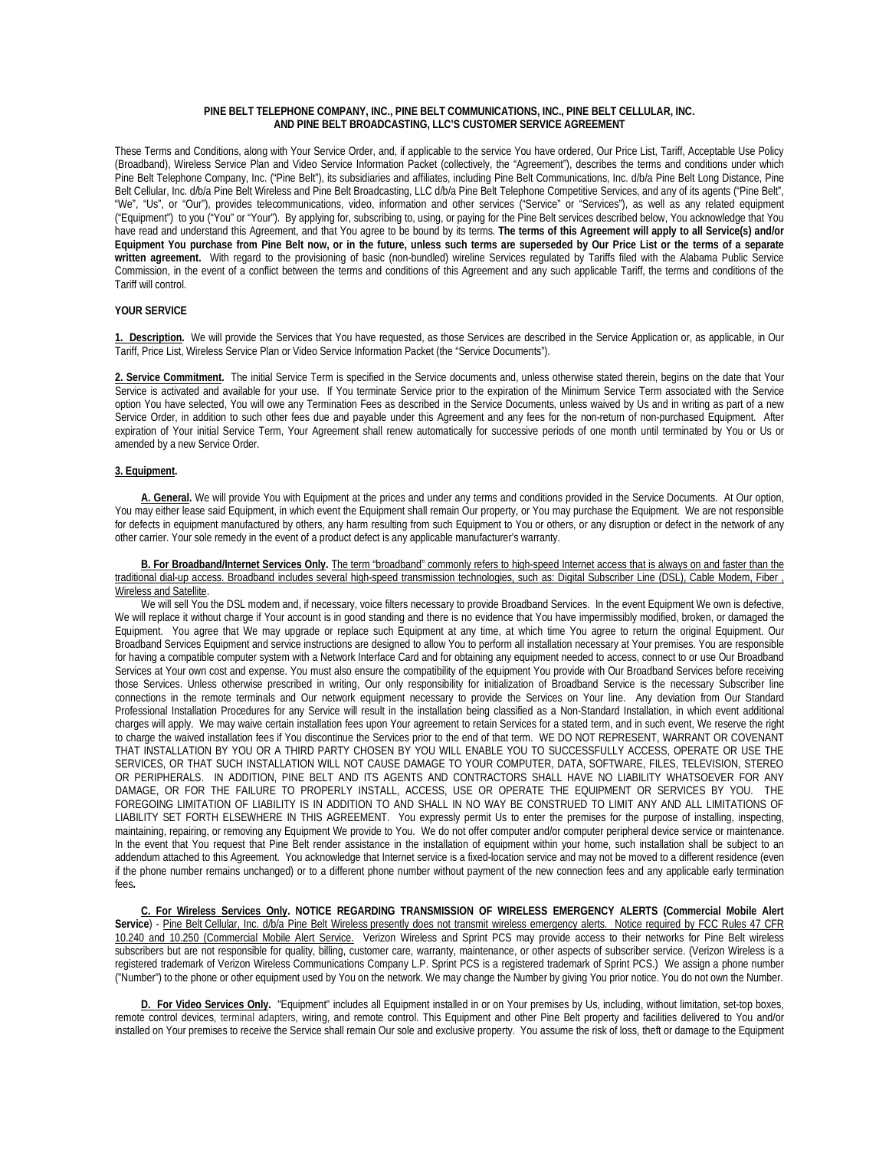### **PINE BELT TELEPHONE COMPANY, INC., PINE BELT COMMUNICATIONS, INC., PINE BELT CELLULAR, INC. AND PINE BELT BROADCASTING, LLC'S CUSTOMER SERVICE AGREEMENT**

These Terms and Conditions, along with Your Service Order, and, if applicable to the service You have ordered, Our Price List, Tariff, Acceptable Use Policy (Broadband), Wireless Service Plan and Video Service Information Packet (collectively, the "Agreement"), describes the terms and conditions under which Pine Belt Telephone Company, Inc. ("Pine Belt"), its subsidiaries and affiliates, including Pine Belt Communications, Inc. d/b/a Pine Belt Long Distance, Pine Belt Cellular, Inc. d/b/a Pine Belt Wireless and Pine Belt Broadcasting, LLC d/b/a Pine Belt Telephone Competitive Services, and any of its agents ("Pine Belt", "We", "Us", or "Our"), provides telecommunications, video, information and other services ("Service" or "Services"), as well as any related equipment ("Equipment") to you ("You" or "Your"). By applying for, subscribing to, using, or paying for the Pine Belt services described below, You acknowledge that You have read and understand this Agreement, and that You agree to be bound by its terms. **The terms of this Agreement will apply to all Service(s) and/or Equipment You purchase from Pine Belt now, or in the future, unless such terms are superseded by Our Price List or the terms of a separate written agreement.** With regard to the provisioning of basic (non-bundled) wireline Services regulated by Tariffs filed with the Alabama Public Service Commission, in the event of a conflict between the terms and conditions of this Agreement and any such applicable Tariff, the terms and conditions of the Tariff will control.

### **YOUR SERVICE**

**1. Description.** We will provide the Services that You have requested, as those Services are described in the Service Application or, as applicable, in Our Tariff, Price List, Wireless Service Plan or Video Service Information Packet (the "Service Documents").

2. Service Commitment. The initial Service Term is specified in the Service documents and, unless otherwise stated therein, begins on the date that Your Service is activated and available for your use. If You terminate Service prior to the expiration of the Minimum Service Term associated with the Service option You have selected, You will owe any Termination Fees as described in the Service Documents, unless waived by Us and in writing as part of a new Service Order, in addition to such other fees due and payable under this Agreement and any fees for the non-return of non-purchased Equipment. After expiration of Your initial Service Term, Your Agreement shall renew automatically for successive periods of one month until terminated by You or Us or amended by a new Service Order.

### **3. Equipment.**

**A. General.** We will provide You with Equipment at the prices and under any terms and conditions provided in the Service Documents. At Our option, You may either lease said Equipment, in which event the Equipment shall remain Our property, or You may purchase the Equipment. We are not responsible for defects in equipment manufactured by others, any harm resulting from such Equipment to You or others, or any disruption or defect in the network of any other carrier. Your sole remedy in the event of a product defect is any applicable manufacturer's warranty.

#### **B. For Broadband/Internet Services Only.** The term "broadband" commonly refers to high-speed Internet access that is always on and faster than the traditional dial-up access. Broadband includes several high-speed transmission technologies, such as[: Digital Subscriber Line \(DSL\),](https://www.fcc.gov/encyclopedia/types-broadband-connections#dsl) [Cable Modem,](https://www.fcc.gov/encyclopedia/types-broadband-connections#cable) [Fiber ,](https://www.fcc.gov/encyclopedia/types-broadband-connections#fiber) [Wireless a](https://www.fcc.gov/encyclopedia/types-broadband-connections#wireless)n[d Satellite.](https://www.fcc.gov/encyclopedia/types-broadband-connections#satellite)

We will sell You the DSL modem and, if necessary, voice filters necessary to provide Broadband Services. In the event Equipment We own is defective, We will replace it without charge if Your account is in good standing and there is no evidence that You have impermissibly modified, broken, or damaged the Equipment. You agree that We may upgrade or replace such Equipment at any time, at which time You agree to return the original Equipment. Our Broadband Services Equipment and service instructions are designed to allow You to perform all installation necessary at Your premises. You are responsible for having a compatible computer system with a Network Interface Card and for obtaining any equipment needed to access, connect to or use Our Broadband Services at Your own cost and expense. You must also ensure the compatibility of the equipment You provide with Our Broadband Services before receiving those Services. Unless otherwise prescribed in writing, Our only responsibility for initialization of Broadband Service is the necessary Subscriber line connections in the remote terminals and Our network equipment necessary to provide the Services on Your line. Any deviation from Our Standard Professional Installation Procedures for any Service will result in the installation being classified as a Non-Standard Installation, in which event additional charges will apply. We may waive certain installation fees upon Your agreement to retain Services for a stated term, and in such event, We reserve the right to charge the waived installation fees if You discontinue the Services prior to the end of that term. WE DO NOT REPRESENT, WARRANT OR COVENANT THAT INSTALLATION BY YOU OR A THIRD PARTY CHOSEN BY YOU WILL ENABLE YOU TO SUCCESSFULLY ACCESS, OPERATE OR USE THE SERVICES, OR THAT SUCH INSTALLATION WILL NOT CAUSE DAMAGE TO YOUR COMPUTER, DATA, SOFTWARE, FILES, TELEVISION, STEREO OR PERIPHERALS. IN ADDITION, PINE BELT AND ITS AGENTS AND CONTRACTORS SHALL HAVE NO LIABILITY WHATSOEVER FOR ANY DAMAGE, OR FOR THE FAILURE TO PROPERLY INSTALL, ACCESS, USE OR OPERATE THE EQUIPMENT OR SERVICES BY YOU. THE FOREGOING LIMITATION OF LIABILITY IS IN ADDITION TO AND SHALL IN NO WAY BE CONSTRUED TO LIMIT ANY AND ALL LIMITATIONS OF LIABILITY SET FORTH ELSEWHERE IN THIS AGREEMENT. You expressly permit Us to enter the premises for the purpose of installing, inspecting, maintaining, repairing, or removing any Equipment We provide to You. We do not offer computer and/or computer peripheral device service or maintenance. In the event that You request that Pine Belt render assistance in the installation of equipment within your home, such installation shall be subject to an addendum attached to this Agreement. You acknowledge that Internet service is a fixed-location service and may not be moved to a different residence (even if the phone number remains unchanged) or to a different phone number without payment of the new connection fees and any applicable early termination fees**.** 

**C. For Wireless Services Only. NOTICE REGARDING TRANSMISSION OF WIRELESS EMERGENCY ALERTS (Commercial Mobile Alert Service**) - Pine Belt Cellular, Inc. d/b/a Pine Belt Wireless presently does not transmit wireless emergency alerts. Notice required by FCC Rules 47 CFR 10.240 and 10.250 (Commercial Mobile Alert Service. Verizon Wireless and Sprint PCS may provide access to their networks for Pine Belt wireless subscribers but are not responsible for quality, billing, customer care, warranty, maintenance, or other aspects of subscriber service. (Verizon Wireless is a registered trademark of Verizon Wireless Communications Company L.P. Sprint PCS is a registered trademark of Sprint PCS.) We assign a phone number ("Number") to the phone or other equipment used by You on the network. We may change the Number by giving You prior notice. You do not own the Number.

**D. For Video Services Only.** "Equipment" includes all Equipment installed in or on Your premises by Us, including, without limitation, set-top boxes, remote control devices, terminal adapters, wiring, and remote control. This Equipment and other Pine Belt property and facilities delivered to You and/or installed on Your premises to receive the Service shall remain Our sole and exclusive property. You assume the risk of loss, theft or damage to the Equipment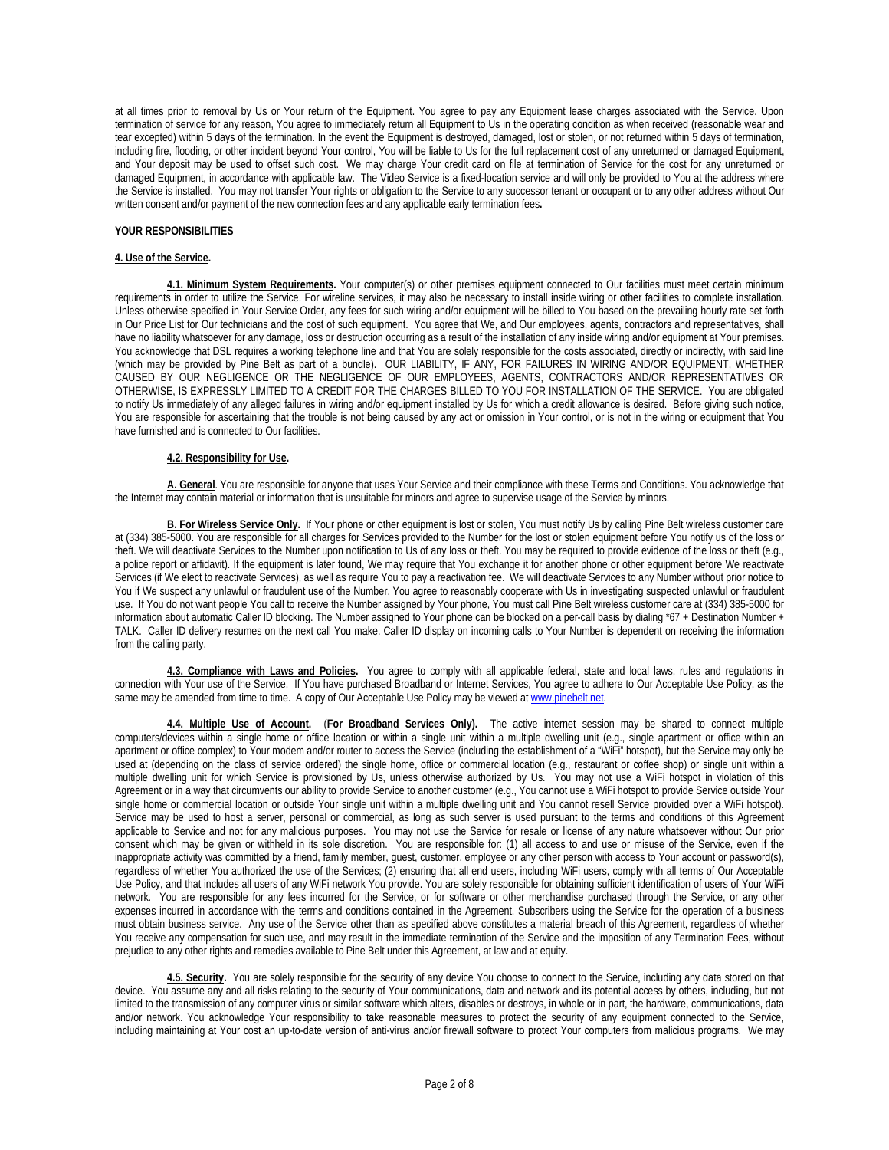at all times prior to removal by Us or Your return of the Equipment. You agree to pay any Equipment lease charges associated with the Service. Upon termination of service for any reason, You agree to immediately return all Equipment to Us in the operating condition as when received (reasonable wear and tear excepted) within 5 days of the termination. In the event the Equipment is destroyed, damaged, lost or stolen, or not returned within 5 days of termination, including fire, flooding, or other incident beyond Your control, You will be liable to Us for the full replacement cost of any unreturned or damaged Equipment, and Your deposit may be used to offset such cost. We may charge Your credit card on file at termination of Service for the cost for any unreturned or damaged Equipment, in accordance with applicable law. The Video Service is a fixed-location service and will only be provided to You at the address where the Service is installed. You may not transfer Your rights or obligation to the Service to any successor tenant or occupant or to any other address without Our written consent and/or payment of the new connection fees and any applicable early termination fees**.** 

### **YOUR RESPONSIBILITIES**

### **4. Use of the Service.**

**4.1. Minimum System Requirements.** Your computer(s) or other premises equipment connected to Our facilities must meet certain minimum requirements in order to utilize the Service. For wireline services, it may also be necessary to install inside wiring or other facilities to complete installation. Unless otherwise specified in Your Service Order, any fees for such wiring and/or equipment will be billed to You based on the prevailing hourly rate set forth in Our Price List for Our technicians and the cost of such equipment. You agree that We, and Our employees, agents, contractors and representatives, shall have no liability whatsoever for any damage, loss or destruction occurring as a result of the installation of any inside wiring and/or equipment at Your premises. You acknowledge that DSL requires a working telephone line and that You are solely responsible for the costs associated, directly or indirectly, with said line (which may be provided by Pine Belt as part of a bundle). OUR LIABILITY, IF ANY, FOR FAILURES IN WIRING AND/OR EQUIPMENT, WHETHER CAUSED BY OUR NEGLIGENCE OR THE NEGLIGENCE OF OUR EMPLOYEES, AGENTS, CONTRACTORS AND/OR REPRESENTATIVES OR OTHERWISE, IS EXPRESSLY LIMITED TO A CREDIT FOR THE CHARGES BILLED TO YOU FOR INSTALLATION OF THE SERVICE. You are obligated to notify Us immediately of any alleged failures in wiring and/or equipment installed by Us for which a credit allowance is desired. Before giving such notice, You are responsible for ascertaining that the trouble is not being caused by any act or omission in Your control, or is not in the wiring or equipment that You have furnished and is connected to Our facilities.

### **4.2. Responsibility for Use.**

**A. General**. You are responsible for anyone that uses Your Service and their compliance with these Terms and Conditions. You acknowledge that the Internet may contain material or information that is unsuitable for minors and agree to supervise usage of the Service by minors.

B. For Wireless Service Only. If Your phone or other equipment is lost or stolen, You must notify Us by calling Pine Belt wireless customer care at (334) 385-5000. You are responsible for all charges for Services provided to the Number for the lost or stolen equipment before You notify us of the loss or theft. We will deactivate Services to the Number upon notification to Us of any loss or theft. You may be required to provide evidence of the loss or theft (e.g., a police report or affidavit). If the equipment is later found, We may require that You exchange it for another phone or other equipment before We reactivate Services (if We elect to reactivate Services), as well as require You to pay a reactivation fee. We will deactivate Services to any Number without prior notice to You if We suspect any unlawful or fraudulent use of the Number. You agree to reasonably cooperate with Us in investigating suspected unlawful or fraudulent use. If You do not want people You call to receive the Number assigned by Your phone, You must call Pine Belt wireless customer care at (334) 385-5000 for information about automatic Caller ID blocking. The Number assigned to Your phone can be blocked on a per-call basis by dialing \*67 + Destination Number + TALK. Caller ID delivery resumes on the next call You make. Caller ID display on incoming calls to Your Number is dependent on receiving the information from the calling party.

**4.3. Compliance with Laws and Policies.** You agree to comply with all applicable federal, state and local laws, rules and regulations in connection with Your use of the Service. If You have purchased Broadband or Internet Services, You agree to adhere to Our Acceptable Use Policy, as the same may be amended from time to time. A copy of Our Acceptable Use Policy may be viewed at www.pinebelt.net.

**4.4. Multiple Use of Account.** (**For Broadband Services Only).** The active internet session may be shared to connect multiple computers/devices within a single home or office location or within a single unit within a multiple dwelling unit (e.g., single apartment or office within an apartment or office complex) to Your modem and/or router to access the Service (including the establishment of a "WiFi" hotspot), but the Service may only be used at (depending on the class of service ordered) the single home, office or commercial location (e.g., restaurant or coffee shop) or single unit within a multiple dwelling unit for which Service is provisioned by Us, unless otherwise authorized by Us. You may not use a WiFi hotspot in violation of this Agreement or in a way that circumvents our ability to provide Service to another customer (e.g., You cannot use a WiFi hotspot to provide Service outside Your single home or commercial location or outside Your single unit within a multiple dwelling unit and You cannot resell Service provided over a WiFi hotspot). Service may be used to host a server, personal or commercial, as long as such server is used pursuant to the terms and conditions of this Agreement applicable to Service and not for any malicious purposes. You may not use the Service for resale or license of any nature whatsoever without Our prior consent which may be given or withheld in its sole discretion. You are responsible for: (1) all access to and use or misuse of the Service, even if the inappropriate activity was committed by a friend, family member, guest, customer, employee or any other person with access to Your account or password(s), regardless of whether You authorized the use of the Services; (2) ensuring that all end users, including WiFi users, comply with all terms of Our Acceptable Use Policy, and that includes all users of any WiFi network You provide. You are solely responsible for obtaining sufficient identification of users of Your WiFi network. You are responsible for any fees incurred for the Service, or for software or other merchandise purchased through the Service, or any other expenses incurred in accordance with the terms and conditions contained in the Agreement. Subscribers using the Service for the operation of a business must obtain business service. Any use of the Service other than as specified above constitutes a material breach of this Agreement, regardless of whether You receive any compensation for such use, and may result in the immediate termination of the Service and the imposition of any Termination Fees, without prejudice to any other rights and remedies available to Pine Belt under this Agreement, at law and at equity.

**4.5. Security.** You are solely responsible for the security of any device You choose to connect to the Service, including any data stored on that device. You assume any and all risks relating to the security of Your communications, data and network and its potential access by others, including, but not limited to the transmission of any computer virus or similar software which alters, disables or destroys, in whole or in part, the hardware, communications, data and/or network. You acknowledge Your responsibility to take reasonable measures to protect the security of any equipment connected to the Service, including maintaining at Your cost an up-to-date version of anti-virus and/or firewall software to protect Your computers from malicious programs. We may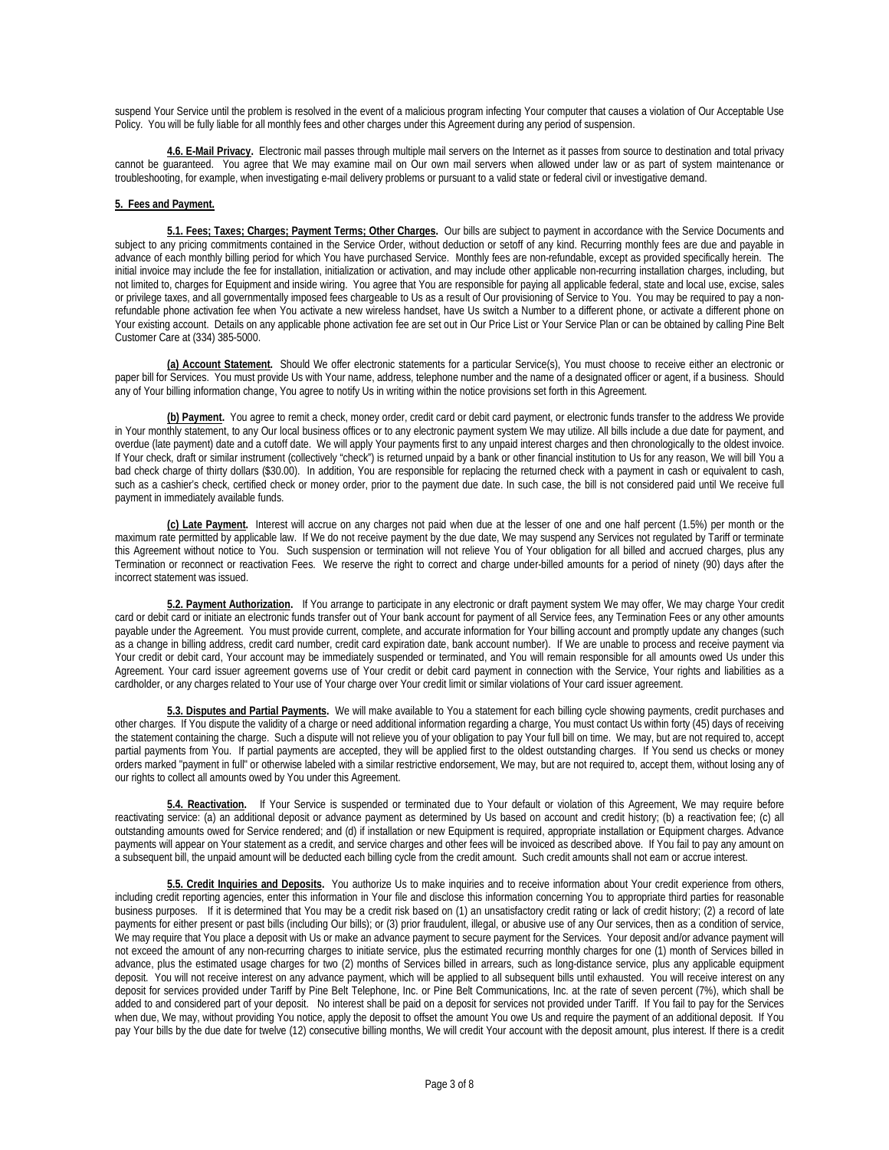suspend Your Service until the problem is resolved in the event of a malicious program infecting Your computer that causes a violation of Our Acceptable Use Policy. You will be fully liable for all monthly fees and other charges under this Agreement during any period of suspension.

**4.6. E-Mail Privacy.** Electronic mail passes through multiple mail servers on the Internet as it passes from source to destination and total privacy cannot be guaranteed. You agree that We may examine mail on Our own mail servers when allowed under law or as part of system maintenance or troubleshooting, for example, when investigating e-mail delivery problems or pursuant to a valid state or federal civil or investigative demand.

# **5. Fees and Payment.**

**5.1. Fees; Taxes; Charges; Payment Terms; Other Charges.** Our bills are subject to payment in accordance with the Service Documents and subject to any pricing commitments contained in the Service Order, without deduction or setoff of any kind. Recurring monthly fees are due and payable in advance of each monthly billing period for which You have purchased Service. Monthly fees are non-refundable, except as provided specifically herein. The initial invoice may include the fee for installation, initialization or activation, and may include other applicable non-recurring installation charges, including, but not limited to, charges for Equipment and inside wiring. You agree that You are responsible for paying all applicable federal, state and local use, excise, sales or privilege taxes, and all governmentally imposed fees chargeable to Us as a result of Our provisioning of Service to You. You may be required to pay a nonrefundable phone activation fee when You activate a new wireless handset, have Us switch a Number to a different phone, or activate a different phone on Your existing account. Details on any applicable phone activation fee are set out in Our Price List or Your Service Plan or can be obtained by calling Pine Belt Customer Care at (334) 385-5000.

**(a) Account Statement.** Should We offer electronic statements for a particular Service(s), You must choose to receive either an electronic or paper bill for Services. You must provide Us with Your name, address, telephone number and the name of a designated officer or agent, if a business. Should any of Your billing information change, You agree to notify Us in writing within the notice provisions set forth in this Agreement.

**(b) Payment.** You agree to remit a check, money order, credit card or debit card payment, or electronic funds transfer to the address We provide in Your monthly statement, to any Our local business offices or to any electronic payment system We may utilize. All bills include a due date for payment, and overdue (late payment) date and a cutoff date. We will apply Your payments first to any unpaid interest charges and then chronologically to the oldest invoice. If Your check, draft or similar instrument (collectively "check") is returned unpaid by a bank or other financial institution to Us for any reason, We will bill You a bad check charge of thirty dollars (\$30.00). In addition, You are responsible for replacing the returned check with a payment in cash or equivalent to cash, such as a cashier's check, certified check or money order, prior to the payment due date. In such case, the bill is not considered paid until We receive full payment in immediately available funds.

**(c) Late Payment.** Interest will accrue on any charges not paid when due at the lesser of one and one half percent (1.5%) per month or the maximum rate permitted by applicable law. If We do not receive payment by the due date, We may suspend any Services not regulated by Tariff or terminate this Agreement without notice to You. Such suspension or termination will not relieve You of Your obligation for all billed and accrued charges, plus any Termination or reconnect or reactivation Fees. We reserve the right to correct and charge under-billed amounts for a period of ninety (90) days after the incorrect statement was issued.

**5.2. Payment Authorization.** If You arrange to participate in any electronic or draft payment system We may offer, We may charge Your credit card or debit card or initiate an electronic funds transfer out of Your bank account for payment of all Service fees, any Termination Fees or any other amounts payable under the Agreement. You must provide current, complete, and accurate information for Your billing account and promptly update any changes (such as a change in billing address, credit card number, credit card expiration date, bank account number). If We are unable to process and receive payment via Your credit or debit card, Your account may be immediately suspended or terminated, and You will remain responsible for all amounts owed Us under this Agreement. Your card issuer agreement governs use of Your credit or debit card payment in connection with the Service, Your rights and liabilities as a cardholder, or any charges related to Your use of Your charge over Your credit limit or similar violations of Your card issuer agreement.

**5.3. Disputes and Partial Payments.** We will make available to You a statement for each billing cycle showing payments, credit purchases and other charges. If You dispute the validity of a charge or need additional information regarding a charge, You must contact Us within forty (45) days of receiving the statement containing the charge. Such a dispute will not relieve you of your obligation to pay Your full bill on time. We may, but are not required to, accept partial payments from You. If partial payments are accepted, they will be applied first to the oldest outstanding charges. If You send us checks or money orders marked "payment in full" or otherwise labeled with a similar restrictive endorsement, We may, but are not required to, accept them, without losing any of our rights to collect all amounts owed by You under this Agreement.

**5.4. Reactivation.** If Your Service is suspended or terminated due to Your default or violation of this Agreement, We may require before reactivating service: (a) an additional deposit or advance payment as determined by Us based on account and credit history; (b) a reactivation fee; (c) all outstanding amounts owed for Service rendered; and (d) if installation or new Equipment is required, appropriate installation or Equipment charges. Advance payments will appear on Your statement as a credit, and service charges and other fees will be invoiced as described above. If You fail to pay any amount on a subsequent bill, the unpaid amount will be deducted each billing cycle from the credit amount. Such credit amounts shall not earn or accrue interest.

**5.5. Credit Inquiries and Deposits.** You authorize Us to make inquiries and to receive information about Your credit experience from others, including credit reporting agencies, enter this information in Your file and disclose this information concerning You to appropriate third parties for reasonable business purposes. If it is determined that You may be a credit risk based on (1) an unsatisfactory credit rating or lack of credit history; (2) a record of late payments for either present or past bills (including Our bills); or (3) prior fraudulent, illegal, or abusive use of any Our services, then as a condition of service, We may require that You place a deposit with Us or make an advance payment to secure payment for the Services. Your deposit and/or advance payment will not exceed the amount of any non-recurring charges to initiate service, plus the estimated recurring monthly charges for one (1) month of Services billed in advance, plus the estimated usage charges for two (2) months of Services billed in arrears, such as long-distance service, plus any applicable equipment deposit. You will not receive interest on any advance payment, which will be applied to all subsequent bills until exhausted. You will receive interest on any deposit for services provided under Tariff by Pine Belt Telephone, Inc. or Pine Belt Communications, Inc. at the rate of seven percent (7%), which shall be added to and considered part of your deposit. No interest shall be paid on a deposit for services not provided under Tariff.If You fail to pay for the Services when due, We may, without providing You notice, apply the deposit to offset the amount You owe Us and require the payment of an additional deposit. If You pay Your bills by the due date for twelve (12) consecutive billing months, We will credit Your account with the deposit amount, plus interest. If there is a credit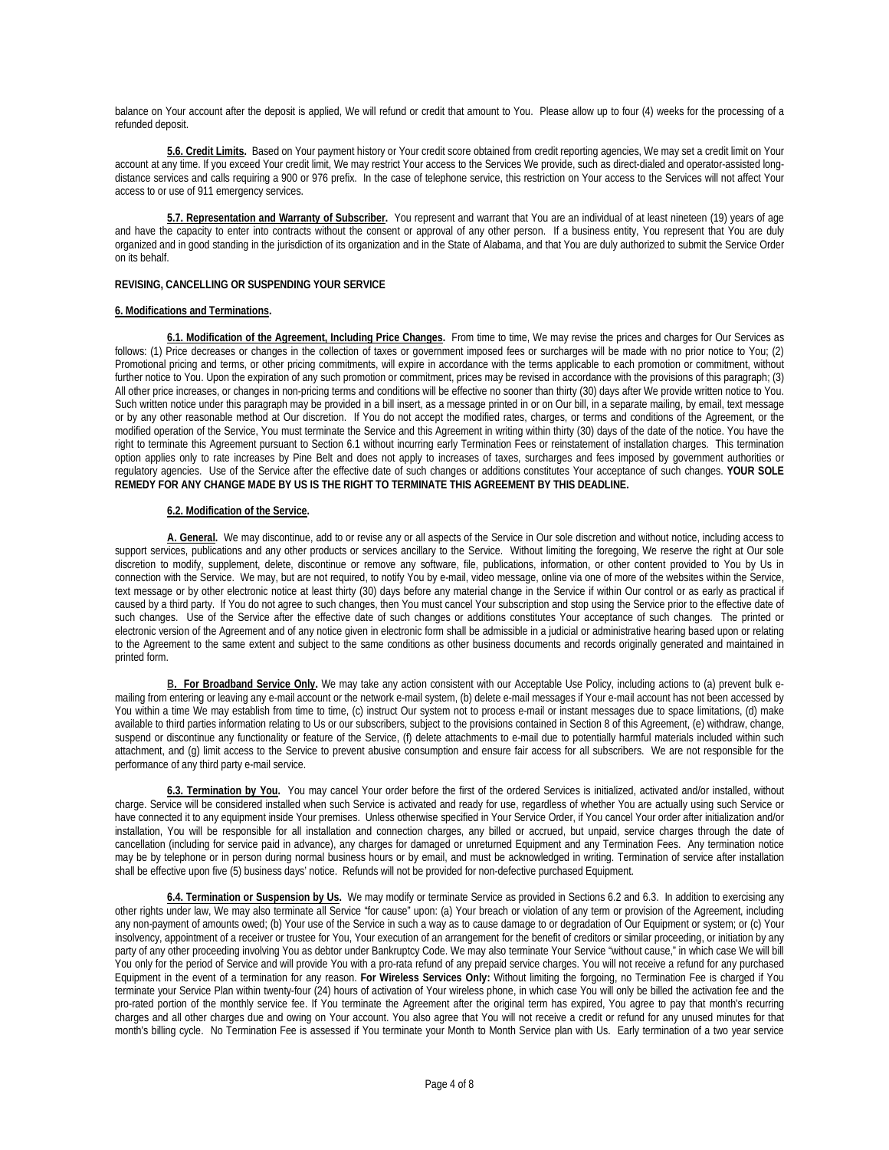balance on Your account after the deposit is applied, We will refund or credit that amount to You. Please allow up to four (4) weeks for the processing of a refunded deposit.

**5.6. Credit Limits.** Based on Your payment history or Your credit score obtained from credit reporting agencies, We may set a credit limit on Your account at any time. If you exceed Your credit limit, We may restrict Your access to the Services We provide, such as direct-dialed and operator-assisted longdistance services and calls requiring a 900 or 976 prefix. In the case of telephone service, this restriction on Your access to the Services will not affect Your access to or use of 911 emergency services.

**5.7. Representation and Warranty of Subscriber.** You represent and warrant that You are an individual of at least nineteen (19) years of age and have the capacity to enter into contracts without the consent or approval of any other person. If a business entity, You represent that You are duly organized and in good standing in the jurisdiction of its organization and in the State of Alabama, and that You are duly authorized to submit the Service Order on its behalf.

# **REVISING, CANCELLING OR SUSPENDING YOUR SERVICE**

# **6. Modifications and Terminations.**

**6.1. Modification of the Agreement, Including Price Changes.** From time to time, We may revise the prices and charges for Our Services as follows: (1) Price decreases or changes in the collection of taxes or government imposed fees or surcharges will be made with no prior notice to You; (2) Promotional pricing and terms, or other pricing commitments, will expire in accordance with the terms applicable to each promotion or commitment, without further notice to You. Upon the expiration of any such promotion or commitment, prices may be revised in accordance with the provisions of this paragraph; (3) All other price increases, or changes in non-pricing terms and conditions will be effective no sooner than thirty (30) days after We provide written notice to You. Such written notice under this paragraph may be provided in a bill insert, as a message printed in or on Our bill, in a separate mailing, by email, text message or by any other reasonable method at Our discretion. If You do not accept the modified rates, charges, or terms and conditions of the Agreement, or the modified operation of the Service, You must terminate the Service and this Agreement in writing within thirty (30) days of the date of the notice. You have the right to terminate this Agreement pursuant to Section 6.1 without incurring early Termination Fees or reinstatement of installation charges. This termination option applies only to rate increases by Pine Belt and does not apply to increases of taxes, surcharges and fees imposed by government authorities or regulatory agencies. Use of the Service after the effective date of such changes or additions constitutes Your acceptance of such changes. **YOUR SOLE REMEDY FOR ANY CHANGE MADE BY US IS THE RIGHT TO TERMINATE THIS AGREEMENT BY THIS DEADLINE.**

# **6.2. Modification of the Service.**

**A. General.** We may discontinue, add to or revise any or all aspects of the Service in Our sole discretion and without notice, including access to support services, publications and any other products or services ancillary to the Service. Without limiting the foregoing, We reserve the right at Our sole discretion to modify, supplement, delete, discontinue or remove any software, file, publications, information, or other content provided to You by Us in connection with the Service. We may, but are not required, to notify You by e-mail, video message, online via one of more of the websites within the Service, text message or by other electronic notice at least thirty (30) days before any material change in the Service if within Our control or as early as practical if caused by a third party. If You do not agree to such changes, then You must cancel Your subscription and stop using the Service prior to the effective date of such changes. Use of the Service after the effective date of such changes or additions constitutes Your acceptance of such changes. The printed or electronic version of the Agreement and of any notice given in electronic form shall be admissible in a judicial or administrative hearing based upon or relating to the Agreement to the same extent and subject to the same conditions as other business documents and records originally generated and maintained in printed form.

B. For Broadband Service Only. We may take any action consistent with our Acceptable Use Policy, including actions to (a) prevent bulk emailing from entering or leaving any e-mail account or the network e-mail system, (b) delete e-mail messages if Your e-mail account has not been accessed by You within a time We may establish from time to time, (c) instruct Our system not to process e-mail or instant messages due to space limitations, (d) make available to third parties information relating to Us or our subscribers, subject to the provisions contained in Section 8 of this Agreement, (e) withdraw, change, suspend or discontinue any functionality or feature of the Service, (f) delete attachments to e-mail due to potentially harmful materials included within such attachment, and (g) limit access to the Service to prevent abusive consumption and ensure fair access for all subscribers. We are not responsible for the performance of any third party e-mail service.

**6.3. Termination by You.** You may cancel Your order before the first of the ordered Services is initialized, activated and/or installed, without charge. Service will be considered installed when such Service is activated and ready for use, regardless of whether You are actually using such Service or have connected it to any equipment inside Your premises. Unless otherwise specified in Your Service Order, if You cancel Your order after initialization and/or installation, You will be responsible for all installation and connection charges, any billed or accrued, but unpaid, service charges through the date of cancellation (including for service paid in advance), any charges for damaged or unreturned Equipment and any Termination Fees. Any termination notice may be by telephone or in person during normal business hours or by email, and must be acknowledged in writing. Termination of service after installation shall be effective upon five (5) business days' notice. Refunds will not be provided for non-defective purchased Equipment.

**6.4. Termination or Suspension by Us.** We may modify or terminate Service as provided in Sections 6.2 and 6.3. In addition to exercising any other rights under law, We may also terminate all Service "for cause" upon: (a) Your breach or violation of any term or provision of the Agreement, including any non-payment of amounts owed; (b) Your use of the Service in such a way as to cause damage to or degradation of Our Equipment or system; or (c) Your insolvency, appointment of a receiver or trustee for You, Your execution of an arrangement for the benefit of creditors or similar proceeding, or initiation by any party of any other proceeding involving You as debtor under Bankruptcy Code. We may also terminate Your Service "without cause," in which case We will bill You only for the period of Service and will provide You with a pro-rata refund of any prepaid service charges. You will not receive a refund for any purchased Equipment in the event of a termination for any reason. **For Wireless Services Only:** Without limiting the forgoing, no Termination Fee is charged if You terminate your Service Plan within twenty-four (24) hours of activation of Your wireless phone, in which case You will only be billed the activation fee and the pro-rated portion of the monthly service fee. If You terminate the Agreement after the original term has expired, You agree to pay that month's recurring charges and all other charges due and owing on Your account. You also agree that You will not receive a credit or refund for any unused minutes for that month's billing cycle. No Termination Fee is assessed if You terminate your Month to Month Service plan with Us. Early termination of a two year service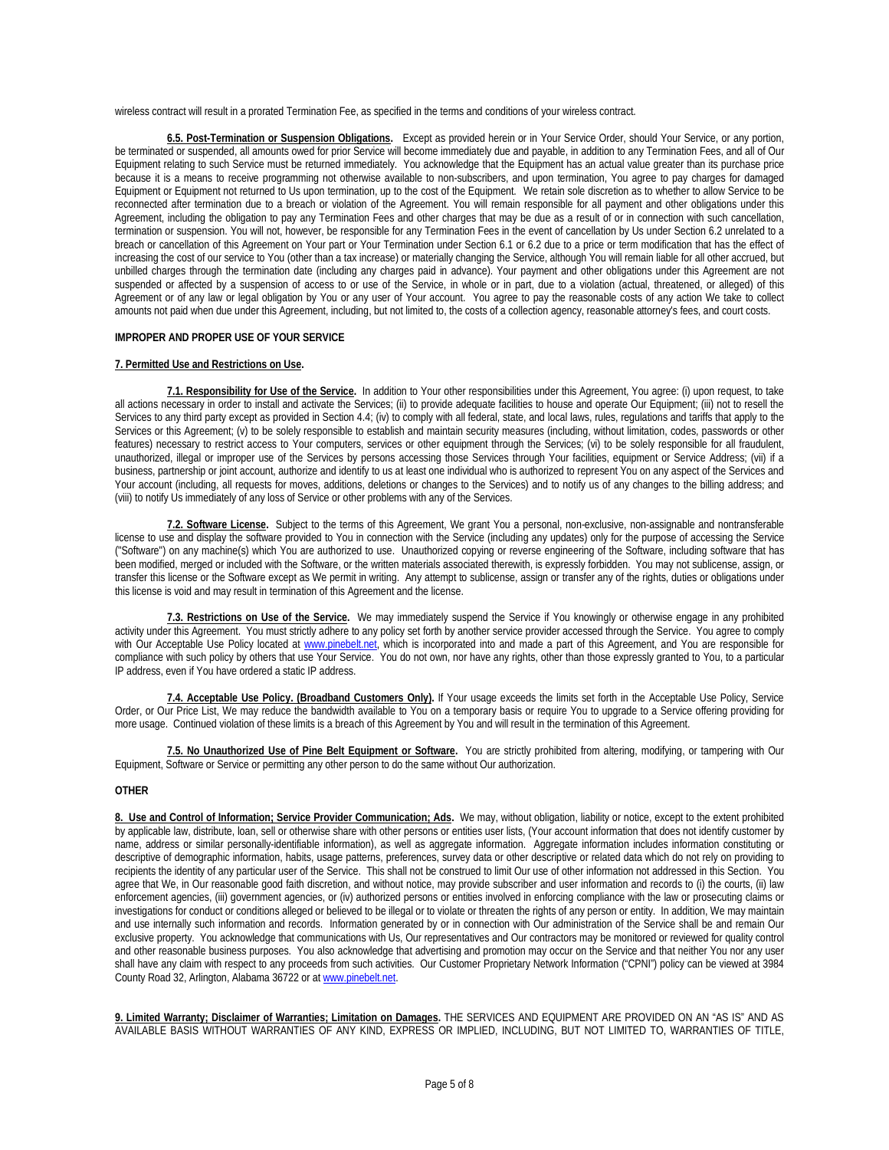wireless contract will result in a prorated Termination Fee, as specified in the terms and conditions of your wireless contract.

**6.5. Post-Termination or Suspension Obligations.** Except as provided herein or in Your Service Order, should Your Service, or any portion, be terminated or suspended, all amounts owed for prior Service will become immediately due and payable, in addition to any Termination Fees, and all of Our Equipment relating to such Service must be returned immediately. You acknowledge that the Equipment has an actual value greater than its purchase price because it is a means to receive programming not otherwise available to non-subscribers, and upon termination, You agree to pay charges for damaged Equipment or Equipment not returned to Us upon termination, up to the cost of the Equipment. We retain sole discretion as to whether to allow Service to be reconnected after termination due to a breach or violation of the Agreement. You will remain responsible for all payment and other obligations under this Agreement, including the obligation to pay any Termination Fees and other charges that may be due as a result of or in connection with such cancellation, termination or suspension. You will not, however, be responsible for any Termination Fees in the event of cancellation by Us under Section 6.2 unrelated to a breach or cancellation of this Agreement on Your part or Your Termination under Section 6.1 or 6.2 due to a price or term modification that has the effect of increasing the cost of our service to You (other than a tax increase) or materially changing the Service, although You will remain liable for all other accrued, but unbilled charges through the termination date (including any charges paid in advance). Your payment and other obligations under this Agreement are not suspended or affected by a suspension of access to or use of the Service, in whole or in part, due to a violation (actual, threatened, or alleged) of this Agreement or of any law or legal obligation by You or any user of Your account. You agree to pay the reasonable costs of any action We take to collect amounts not paid when due under this Agreement, including, but not limited to, the costs of a collection agency, reasonable attorney's fees, and court costs.

### **IMPROPER AND PROPER USE OF YOUR SERVICE**

### **7. Permitted Use and Restrictions on Use.**

**7.1. Responsibility for Use of the Service.** In addition to Your other responsibilities under this Agreement, You agree: (i) upon request, to take all actions necessary in order to install and activate the Services; (ii) to provide adequate facilities to house and operate Our Equipment; (iii) not to resell the Services to any third party except as provided in Section 4.4; (iv) to comply with all federal, state, and local laws, rules, regulations and tariffs that apply to the Services or this Agreement; (v) to be solely responsible to establish and maintain security measures (including, without limitation, codes, passwords or other features) necessary to restrict access to Your computers, services or other equipment through the Services; (vi) to be solely responsible for all fraudulent, unauthorized, illegal or improper use of the Services by persons accessing those Services through Your facilities, equipment or Service Address; (vii) if a business, partnership or joint account, authorize and identify to us at least one individual who is authorized to represent You on any aspect of the Services and Your account (including, all requests for moves, additions, deletions or changes to the Services) and to notify us of any changes to the billing address; and (viii) to notify Us immediately of any loss of Service or other problems with any of the Services.

**7.2. Software License.** Subject to the terms of this Agreement, We grant You a personal, non-exclusive, non-assignable and nontransferable license to use and display the software provided to You in connection with the Service (including any updates) only for the purpose of accessing the Service ("Software") on any machine(s) which You are authorized to use. Unauthorized copying or reverse engineering of the Software, including software that has been modified, merged or included with the Software, or the written materials associated therewith, is expressly forbidden. You may not sublicense, assign, or transfer this license or the Software except as We permit in writing. Any attempt to sublicense, assign or transfer any of the rights, duties or obligations under this license is void and may result in termination of this Agreement and the license.

**7.3. Restrictions on Use of the Service.** We may immediately suspend the Service if You knowingly or otherwise engage in any prohibited activity under this Agreement. You must strictly adhere to any policy set forth by another service provider accessed through the Service. You agree to comply with Our Acceptable Use Policy located at www.pinebelt.net, which is incorporated into and made a part of this Agreement, and You are responsible for compliance with such policy by others that use Your Service. You do not own, nor have any rights, other than those expressly granted to You, to a particular IP address, even if You have ordered a static IP address.

**7.4. Acceptable Use Policy. (Broadband Customers Only).** If Your usage exceeds the limits set forth in the Acceptable Use Policy, Service Order, or Our Price List, We may reduce the bandwidth available to You on a temporary basis or require You to upgrade to a Service offering providing for more usage. Continued violation of these limits is a breach of this Agreement by You and will result in the termination of this Agreement.

**7.5. No Unauthorized Use of Pine Belt Equipment or Software.** You are strictly prohibited from altering, modifying, or tampering with Our Equipment, Software or Service or permitting any other person to do the same without Our authorization.

### **OTHER**

**8. Use and Control of Information; Service Provider Communication; Ads.** We may, without obligation, liability or notice, except to the extent prohibited by applicable law, distribute, loan, sell or otherwise share with other persons or entities user lists, (Your account information that does not identify customer by name, address or similar personally-identifiable information), as well as aggregate information. Aggregate information includes information constituting or descriptive of demographic information, habits, usage patterns, preferences, survey data or other descriptive or related data which do not rely on providing to recipients the identity of any particular user of the Service. This shall not be construed to limit Our use of other information not addressed in this Section. You agree that We, in Our reasonable good faith discretion, and without notice, may provide subscriber and user information and records to (i) the courts, (ii) law enforcement agencies, (iii) government agencies, or (iv) authorized persons or entities involved in enforcing compliance with the law or prosecuting claims or investigations for conduct or conditions alleged or believed to be illegal or to violate or threaten the rights of any person or entity. In addition, We may maintain and use internally such information and records. Information generated by or in connection with Our administration of the Service shall be and remain Our exclusive property. You acknowledge that communications with Us, Our representatives and Our contractors may be monitored or reviewed for quality control and other reasonable business purposes. You also acknowledge that advertising and promotion may occur on the Service and that neither You nor any user shall have any claim with respect to any proceeds from such activities. Our Customer Proprietary Network Information ("CPNI") policy can be viewed at 3984 County Road 32, Arlington, Alabama 36722 or at [www.pinebelt.net.](http://www.pinebelt.net/)

**9. Limited Warranty; Disclaimer of Warranties; Limitation on Damages.** THE SERVICES AND EQUIPMENT ARE PROVIDED ON AN "AS IS" AND AS AVAILABLE BASIS WITHOUT WARRANTIES OF ANY KIND, EXPRESS OR IMPLIED, INCLUDING, BUT NOT LIMITED TO, WARRANTIES OF TITLE,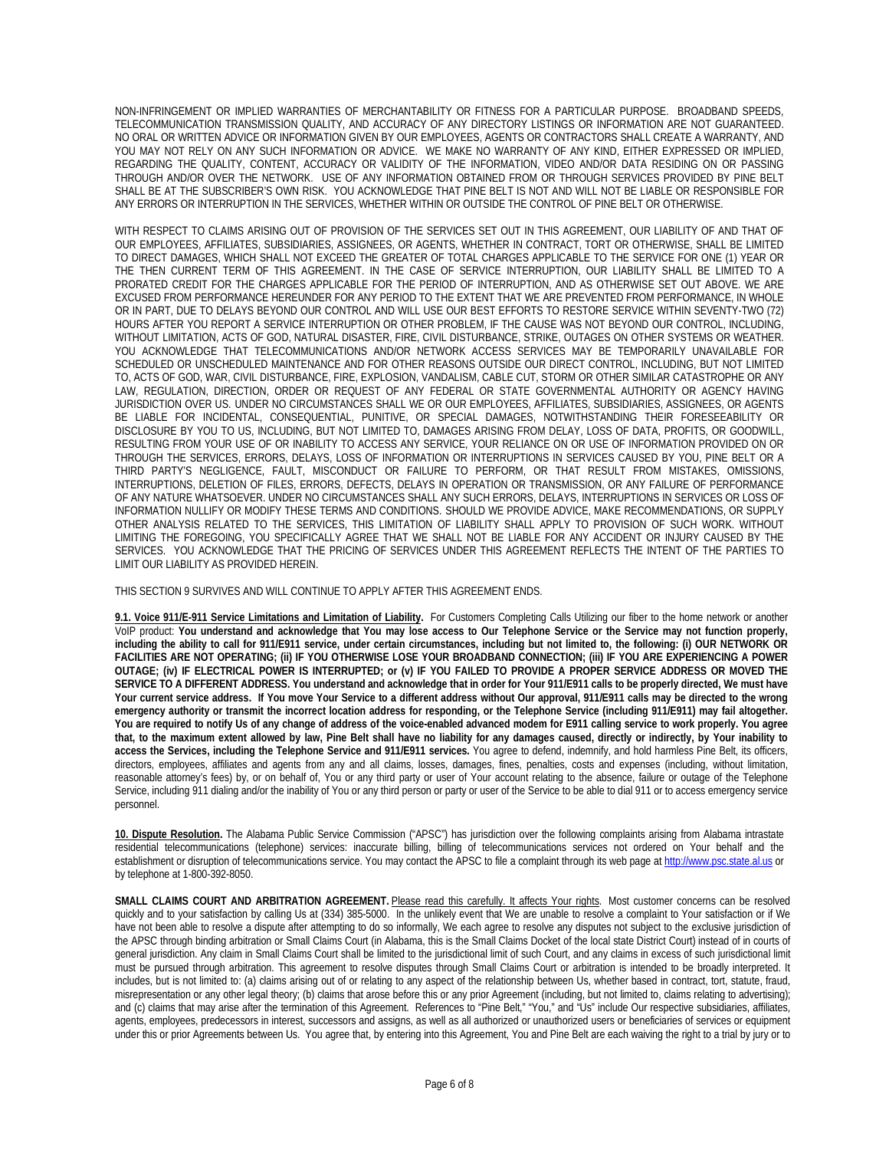NON-INFRINGEMENT OR IMPLIED WARRANTIES OF MERCHANTABILITY OR FITNESS FOR A PARTICULAR PURPOSE. BROADBAND SPEEDS, TELECOMMUNICATION TRANSMISSION QUALITY, AND ACCURACY OF ANY DIRECTORY LISTINGS OR INFORMATION ARE NOT GUARANTEED. NO ORAL OR WRITTEN ADVICE OR INFORMATION GIVEN BY OUR EMPLOYEES, AGENTS OR CONTRACTORS SHALL CREATE A WARRANTY, AND YOU MAY NOT RELY ON ANY SUCH INFORMATION OR ADVICE. WE MAKE NO WARRANTY OF ANY KIND, EITHER EXPRESSED OR IMPLIED, REGARDING THE QUALITY, CONTENT, ACCURACY OR VALIDITY OF THE INFORMATION, VIDEO AND/OR DATA RESIDING ON OR PASSING THROUGH AND/OR OVER THE NETWORK. USE OF ANY INFORMATION OBTAINED FROM OR THROUGH SERVICES PROVIDED BY PINE BELT SHALL BE AT THE SUBSCRIBER'S OWN RISK. YOU ACKNOWLEDGE THAT PINE BELT IS NOT AND WILL NOT BE LIABLE OR RESPONSIBLE FOR ANY ERRORS OR INTERRUPTION IN THE SERVICES, WHETHER WITHIN OR OUTSIDE THE CONTROL OF PINE BELT OR OTHERWISE.

WITH RESPECT TO CLAIMS ARISING OUT OF PROVISION OF THE SERVICES SET OUT IN THIS AGREEMENT, OUR LIABILITY OF AND THAT OF OUR EMPLOYEES, AFFILIATES, SUBSIDIARIES, ASSIGNEES, OR AGENTS, WHETHER IN CONTRACT, TORT OR OTHERWISE, SHALL BE LIMITED TO DIRECT DAMAGES, WHICH SHALL NOT EXCEED THE GREATER OF TOTAL CHARGES APPLICABLE TO THE SERVICE FOR ONE (1) YEAR OR THE THEN CURRENT TERM OF THIS AGREEMENT. IN THE CASE OF SERVICE INTERRUPTION, OUR LIABILITY SHALL BE LIMITED TO A PRORATED CREDIT FOR THE CHARGES APPLICABLE FOR THE PERIOD OF INTERRUPTION, AND AS OTHERWISE SET OUT ABOVE. WE ARE EXCUSED FROM PERFORMANCE HEREUNDER FOR ANY PERIOD TO THE EXTENT THAT WE ARE PREVENTED FROM PERFORMANCE, IN WHOLE OR IN PART, DUE TO DELAYS BEYOND OUR CONTROL AND WILL USE OUR BEST EFFORTS TO RESTORE SERVICE WITHIN SEVENTY-TWO (72) HOURS AFTER YOU REPORT A SERVICE INTERRUPTION OR OTHER PROBLEM, IF THE CAUSE WAS NOT BEYOND OUR CONTROL, INCLUDING, WITHOUT LIMITATION, ACTS OF GOD, NATURAL DISASTER, FIRE, CIVIL DISTURBANCE, STRIKE, OUTAGES ON OTHER SYSTEMS OR WEATHER. YOU ACKNOWLEDGE THAT TELECOMMUNICATIONS AND/OR NETWORK ACCESS SERVICES MAY BE TEMPORARILY UNAVAILABLE FOR SCHEDULED OR UNSCHEDULED MAINTENANCE AND FOR OTHER REASONS OUTSIDE OUR DIRECT CONTROL, INCLUDING, BUT NOT LIMITED TO, ACTS OF GOD, WAR, CIVIL DISTURBANCE, FIRE, EXPLOSION, VANDALISM, CABLE CUT, STORM OR OTHER SIMILAR CATASTROPHE OR ANY LAW, REGULATION, DIRECTION, ORDER OR REQUEST OF ANY FEDERAL OR STATE GOVERNMENTAL AUTHORITY OR AGENCY HAVING JURISDICTION OVER US. UNDER NO CIRCUMSTANCES SHALL WE OR OUR EMPLOYEES, AFFILIATES, SUBSIDIARIES, ASSIGNEES, OR AGENTS BE LIABLE FOR INCIDENTAL, CONSEQUENTIAL, PUNITIVE, OR SPECIAL DAMAGES, NOTWITHSTANDING THEIR FORESEEABILITY OR DISCLOSURE BY YOU TO US, INCLUDING, BUT NOT LIMITED TO, DAMAGES ARISING FROM DELAY, LOSS OF DATA, PROFITS, OR GOODWILL, RESULTING FROM YOUR USE OF OR INABILITY TO ACCESS ANY SERVICE, YOUR RELIANCE ON OR USE OF INFORMATION PROVIDED ON OR THROUGH THE SERVICES, ERRORS, DELAYS, LOSS OF INFORMATION OR INTERRUPTIONS IN SERVICES CAUSED BY YOU, PINE BELT OR A THIRD PARTY'S NEGLIGENCE, FAULT, MISCONDUCT OR FAILURE TO PERFORM, OR THAT RESULT FROM MISTAKES, OMISSIONS, INTERRUPTIONS, DELETION OF FILES, ERRORS, DEFECTS, DELAYS IN OPERATION OR TRANSMISSION, OR ANY FAILURE OF PERFORMANCE OF ANY NATURE WHATSOEVER. UNDER NO CIRCUMSTANCES SHALL ANY SUCH ERRORS, DELAYS, INTERRUPTIONS IN SERVICES OR LOSS OF INFORMATION NULLIFY OR MODIFY THESE TERMS AND CONDITIONS. SHOULD WE PROVIDE ADVICE, MAKE RECOMMENDATIONS, OR SUPPLY OTHER ANALYSIS RELATED TO THE SERVICES, THIS LIMITATION OF LIABILITY SHALL APPLY TO PROVISION OF SUCH WORK. WITHOUT LIMITING THE FOREGOING, YOU SPECIFICALLY AGREE THAT WE SHALL NOT BE LIABLE FOR ANY ACCIDENT OR INJURY CAUSED BY THE SERVICES. YOU ACKNOWLEDGE THAT THE PRICING OF SERVICES UNDER THIS AGREEMENT REFLECTS THE INTENT OF THE PARTIES TO LIMIT OUR LIABILITY AS PROVIDED HEREIN.

THIS SECTION 9 SURVIVES AND WILL CONTINUE TO APPLY AFTER THIS AGREEMENT ENDS.

**9.1. Voice 911/E-911 Service Limitations and Limitation of Liability.** For Customers Completing Calls Utilizing our fiber to the home network or another VoIP product: **You understand and acknowledge that You may lose access to Our Telephone Service or the Service may not function properly, including the ability to call for 911/E911 service, under certain circumstances, including but not limited to, the following: (i) OUR NETWORK OR FACILITIES ARE NOT OPERATING; (ii) IF YOU OTHERWISE LOSE YOUR BROADBAND CONNECTION; (iii) IF YOU ARE EXPERIENCING A POWER OUTAGE; (iv) IF ELECTRICAL POWER IS INTERRUPTED; or (v) IF YOU FAILED TO PROVIDE A PROPER SERVICE ADDRESS OR MOVED THE SERVICE TO A DIFFERENT ADDRESS. You understand and acknowledge that in order for Your 911/E911 calls to be properly directed, We must have Your current service address. If You move Your Service to a different address without Our approval, 911/E911 calls may be directed to the wrong emergency authority or transmit the incorrect location address for responding, or the Telephone Service (including 911/E911) may fail altogether. You are required to notify Us of any change of address of the voice-enabled advanced modem for E911 calling service to work properly. You agree that, to the maximum extent allowed by law, Pine Belt shall have no liability for any damages caused, directly or indirectly, by Your inability to access the Services, including the Telephone Service and 911/E911 services.** You agree to defend, indemnify, and hold harmless Pine Belt, its officers, directors, employees, affiliates and agents from any and all claims, losses, damages, fines, penalties, costs and expenses (including, without limitation, reasonable attorney's fees) by, or on behalf of, You or any third party or user of Your account relating to the absence, failure or outage of the Telephone Service, including 911 dialing and/or the inability of You or any third person or party or user of the Service to be able to dial 911 or to access emergency service personnel.

**10. Dispute Resolution.** The Alabama Public Service Commission ("APSC") has jurisdiction over the following complaints arising from Alabama intrastate residential telecommunications (telephone) services: inaccurate billing, billing of telecommunications services not ordered on Your behalf and the establishment or disruption of telecommunications service. You may contact the APSC to file a complaint through its web page at http://www.psc.state.al.us or by telephone at 1-800-392-8050.

SMALL CLAIMS COURT AND ARBITRATION AGREEMENT. Please read this carefully. It affects Your rights. Most customer concerns can be resolved quickly and to your satisfaction by calling Us at (334) 385-5000. In the unlikely event that We are unable to resolve a complaint to Your satisfaction or if We have not been able to resolve a dispute after attempting to do so informally, We each agree to resolve any disputes not subject to the exclusive jurisdiction of the APSC through binding arbitration or Small Claims Court (in Alabama, this is the Small Claims Docket of the local state District Court) instead of in courts of general jurisdiction. Any claim in Small Claims Court shall be limited to the jurisdictional limit of such Court, and any claims in excess of such jurisdictional limit must be pursued through arbitration. This agreement to resolve disputes through Small Claims Court or arbitration is intended to be broadly interpreted. It includes, but is not limited to: (a) claims arising out of or relating to any aspect of the relationship between Us, whether based in contract, tort, statute, fraud, misrepresentation or any other legal theory; (b) claims that arose before this or any prior Agreement (including, but not limited to, claims relating to advertising); and (c) claims that may arise after the termination of this Agreement. References to "Pine Belt," "You," and "Us" include Our respective subsidiaries, affiliates, agents, employees, predecessors in interest, successors and assigns, as well as all authorized or unauthorized users or beneficiaries of services or equipment under this or prior Agreements between Us. You agree that, by entering into this Agreement, You and Pine Belt are each waiving the right to a trial by jury or to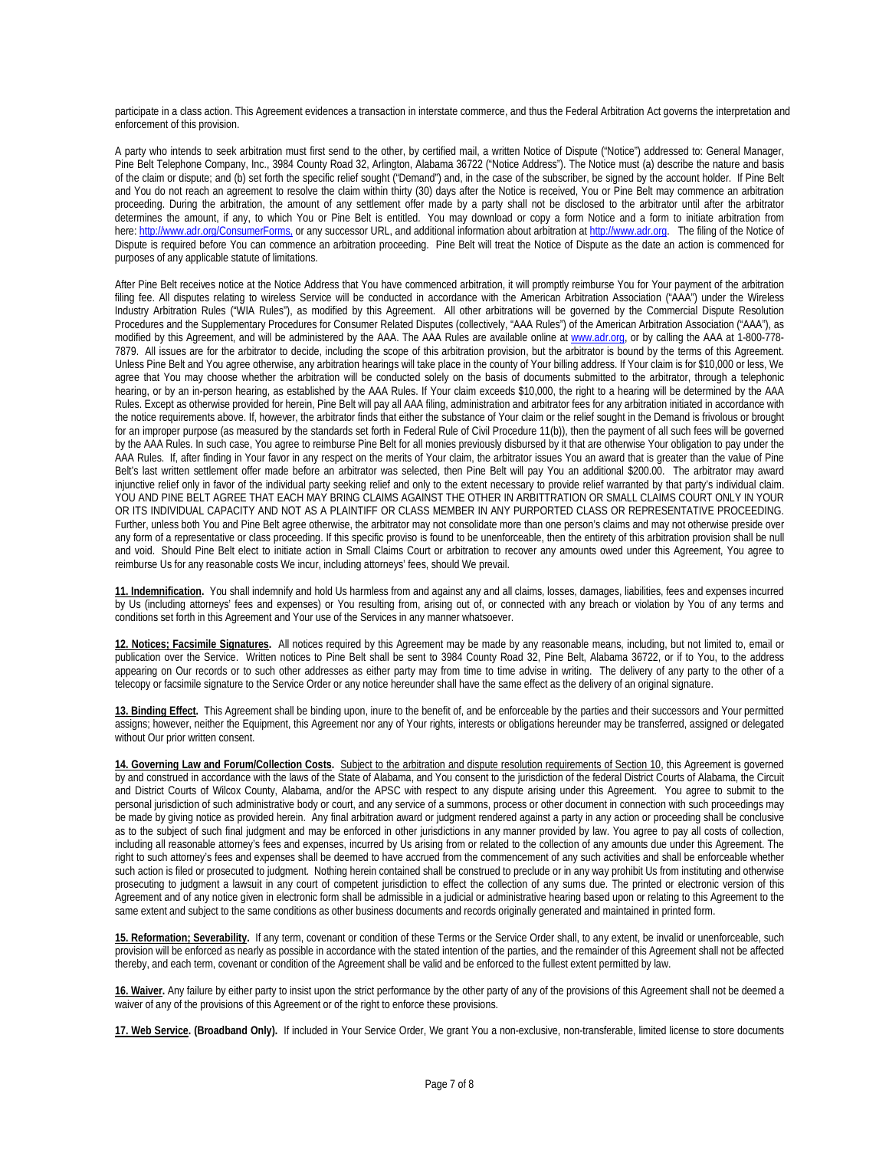participate in a class action. This Agreement evidences a transaction in interstate commerce, and thus the Federal Arbitration Act governs the interpretation and enforcement of this provision.

A party who intends to seek arbitration must first send to the other, by certified mail, a written Notice of Dispute ("Notice") addressed to: General Manager, Pine Belt Telephone Company, Inc., 3984 County Road 32, Arlington, Alabama 36722 ("Notice Address"). The Notice must (a) describe the nature and basis of the claim or dispute; and (b) set forth the specific relief sought ("Demand") and, in the case of the subscriber, be signed by the account holder. If Pine Belt and You do not reach an agreement to resolve the claim within thirty (30) days after the Notice is received, You or Pine Belt may commence an arbitration proceeding. During the arbitration, the amount of any settlement offer made by a party shall not be disclosed to the arbitrator until after the arbitrator determines the amount, if any, to which You or Pine Belt is entitled. You may download or copy a form Notice and a form to initiate arbitration from here: http://www.adr.org/ConsumerForms, or any successor URL, and additional information about arbitration at http://www.adr.org. The filing of the Notice of Dispute is required before You can commence an arbitration proceeding. Pine Belt will treat the Notice of Dispute as the date an action is commenced for purposes of any applicable statute of limitations.

After Pine Belt receives notice at the Notice Address that You have commenced arbitration, it will promptly reimburse You for Your payment of the arbitration filing fee. All disputes relating to wireless Service will be conducted in accordance with the American Arbitration Association ("AAA") under the Wireless Industry Arbitration Rules ("WIA Rules"), as modified by this Agreement. All other arbitrations will be governed by the Commercial Dispute Resolution Procedures and the Supplementary Procedures for Consumer Related Disputes (collectively, "AAA Rules") of the American Arbitration Association ("AAA"), as modified by this Agreement, and will be administered by the AAA. The AAA Rules are available online a[t www.adr.org,](http://www.adr.org/) or by calling the AAA at 1-800-778- 7879. All issues are for the arbitrator to decide, including the scope of this arbitration provision, but the arbitrator is bound by the terms of this Agreement. Unless Pine Belt and You agree otherwise, any arbitration hearings will take place in the county of Your billing address. If Your claim is for \$10,000 or less, We agree that You may choose whether the arbitration will be conducted solely on the basis of documents submitted to the arbitrator, through a telephonic hearing, or by an in-person hearing, as established by the AAA Rules. If Your claim exceeds \$10,000, the right to a hearing will be determined by the AAA Rules. Except as otherwise provided for herein, Pine Belt will pay all AAA filing, administration and arbitrator fees for any arbitration initiated in accordance with the notice requirements above. If, however, the arbitrator finds that either the substance of Your claim or the relief sought in the Demand is frivolous or brought for an improper purpose (as measured by the standards set forth in Federal Rule of Civil Procedure 11(b)), then the payment of all such fees will be governed by the AAA Rules. In such case, You agree to reimburse Pine Belt for all monies previously disbursed by it that are otherwise Your obligation to pay under the AAA Rules. If, after finding in Your favor in any respect on the merits of Your claim, the arbitrator issues You an award that is greater than the value of Pine Belt's last written settlement offer made before an arbitrator was selected, then Pine Belt will pay You an additional \$200.00. The arbitrator may award injunctive relief only in favor of the individual party seeking relief and only to the extent necessary to provide relief warranted by that party's individual claim. YOU AND PINE BELT AGREE THAT EACH MAY BRING CLAIMS AGAINST THE OTHER IN ARBITTRATION OR SMALL CLAIMS COURT ONLY IN YOUR OR ITS INDIVIDUAL CAPACITY AND NOT AS A PLAINTIFF OR CLASS MEMBER IN ANY PURPORTED CLASS OR REPRESENTATIVE PROCEEDING. Further, unless both You and Pine Belt agree otherwise, the arbitrator may not consolidate more than one person's claims and may not otherwise preside over any form of a representative or class proceeding. If this specific proviso is found to be unenforceable, then the entirety of this arbitration provision shall be null and void. Should Pine Belt elect to initiate action in Small Claims Court or arbitration to recover any amounts owed under this Agreement, You agree to reimburse Us for any reasonable costs We incur, including attorneys' fees, should We prevail.

**11. Indemnification.** You shall indemnify and hold Us harmless from and against any and all claims, losses, damages, liabilities, fees and expenses incurred by Us (including attorneys' fees and expenses) or You resulting from, arising out of, or connected with any breach or violation by You of any terms and conditions set forth in this Agreement and Your use of the Services in any manner whatsoever.

**12. Notices; Facsimile Signatures.** All notices required by this Agreement may be made by any reasonable means, including, but not limited to, email or publication over the Service. Written notices to Pine Belt shall be sent to 3984 County Road 32, Pine Belt, Alabama 36722, or if to You, to the address appearing on Our records or to such other addresses as either party may from time to time advise in writing. The delivery of any party to the other of a telecopy or facsimile signature to the Service Order or any notice hereunder shall have the same effect as the delivery of an original signature.

**13. Binding Effect.** This Agreement shall be binding upon, inure to the benefit of, and be enforceable by the parties and their successors and Your permitted assigns; however, neither the Equipment, this Agreement nor any of Your rights, interests or obligations hereunder may be transferred, assigned or delegated without Our prior written consent.

**14. Governing Law and Forum/Collection Costs.** Subject to the arbitration and dispute resolution requirements of Section 10, this Agreement is governed by and construed in accordance with the laws of the State of Alabama, and You consent to the jurisdiction of the federal District Courts of Alabama, the Circuit and District Courts of Wilcox County, Alabama, and/or the APSC with respect to any dispute arising under this Agreement. You agree to submit to the personal jurisdiction of such administrative body or court, and any service of a summons, process or other document in connection with such proceedings may be made by giving notice as provided herein. Any final arbitration award or judgment rendered against a party in any action or proceeding shall be conclusive as to the subject of such final judgment and may be enforced in other jurisdictions in any manner provided by law. You agree to pay all costs of collection, including all reasonable attorney's fees and expenses, incurred by Us arising from or related to the collection of any amounts due under this Agreement. The right to such attorney's fees and expenses shall be deemed to have accrued from the commencement of any such activities and shall be enforceable whether such action is filed or prosecuted to judgment. Nothing herein contained shall be construed to preclude or in any way prohibit Us from instituting and otherwise prosecuting to judgment a lawsuit in any court of competent jurisdiction to effect the collection of any sums due. The printed or electronic version of this Agreement and of any notice given in electronic form shall be admissible in a judicial or administrative hearing based upon or relating to this Agreement to the same extent and subject to the same conditions as other business documents and records originally generated and maintained in printed form.

**15. Reformation; Severability.** If any term, covenant or condition of these Terms or the Service Order shall, to any extent, be invalid or unenforceable, such provision will be enforced as nearly as possible in accordance with the stated intention of the parties, and the remainder of this Agreement shall not be affected thereby, and each term, covenant or condition of the Agreement shall be valid and be enforced to the fullest extent permitted by law.

**16. Waiver.** Any failure by either party to insist upon the strict performance by the other party of any of the provisions of this Agreement shall not be deemed a waiver of any of the provisions of this Agreement or of the right to enforce these provisions.

**17. Web Service. (Broadband Only).** If included in Your Service Order, We grant You a non-exclusive, non-transferable, limited license to store documents